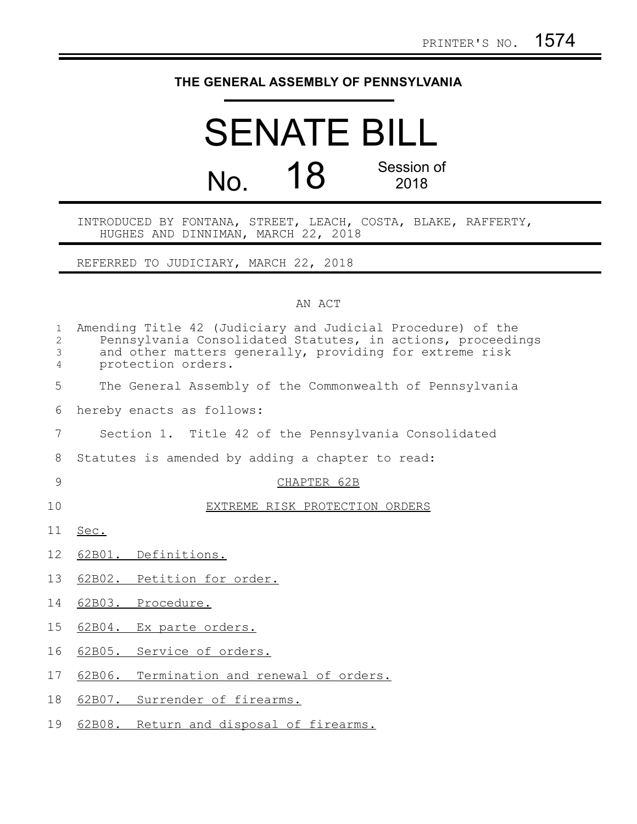## **THE GENERAL ASSEMBLY OF PENNSYLVANIA**

## SENATE BILL No. **18** Session of 2018

INTRODUCED BY FONTANA, STREET, LEACH, COSTA, BLAKE, RAFFERTY, HUGHES AND DINNIMAN, MARCH 22, 2018

REFERRED TO JUDICIARY, MARCH 22, 2018

## AN ACT

| $\mathbf{1}$<br>$\overline{c}$<br>$\mathfrak{Z}$<br>$\overline{4}$ | Amending Title 42 (Judiciary and Judicial Procedure) of the<br>Pennsylvania Consolidated Statutes, in actions, proceedings<br>and other matters generally, providing for extreme risk<br>protection orders. |
|--------------------------------------------------------------------|-------------------------------------------------------------------------------------------------------------------------------------------------------------------------------------------------------------|
| 5                                                                  | The General Assembly of the Commonwealth of Pennsylvania                                                                                                                                                    |
| 6                                                                  | hereby enacts as follows:                                                                                                                                                                                   |
| 7                                                                  | Section 1. Title 42 of the Pennsylvania Consolidated                                                                                                                                                        |
| 8                                                                  | Statutes is amended by adding a chapter to read:                                                                                                                                                            |
| 9                                                                  | CHAPTER 62B                                                                                                                                                                                                 |
| 10                                                                 | EXTREME RISK PROTECTION ORDERS                                                                                                                                                                              |
| 11                                                                 | Sec.                                                                                                                                                                                                        |
| 12                                                                 | 62B01. Definitions.                                                                                                                                                                                         |
| 13                                                                 | 62B02. Petition for order.                                                                                                                                                                                  |
| 14                                                                 | 62B03. Procedure.                                                                                                                                                                                           |
| 15                                                                 | 62B04. Ex parte orders.                                                                                                                                                                                     |
| 16                                                                 | 62B05. Service of orders.                                                                                                                                                                                   |
| 17                                                                 | 62B06. Termination and renewal of orders.                                                                                                                                                                   |
| 18                                                                 | 62B07. Surrender of firearms.                                                                                                                                                                               |
| 19                                                                 | 62B08. Return and disposal of firearms.                                                                                                                                                                     |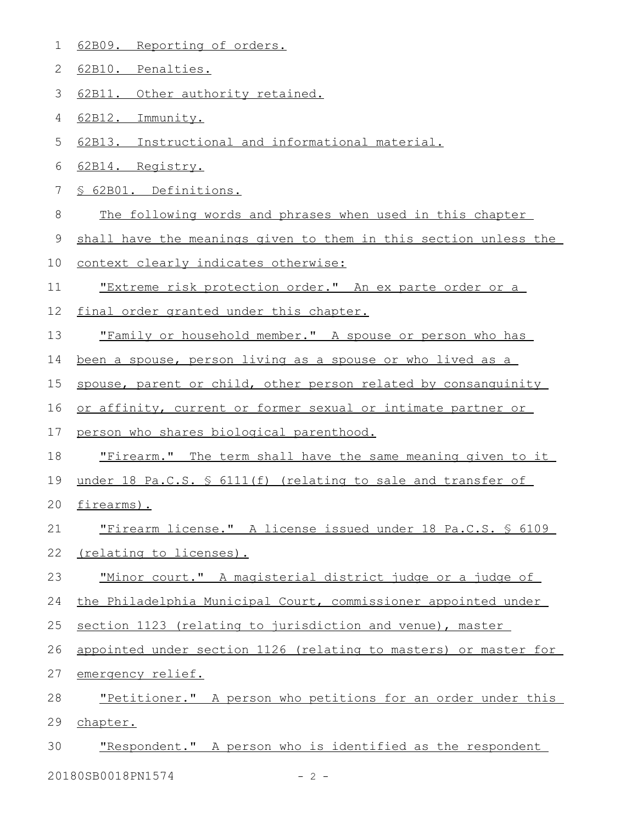- 62B09. Reporting of orders. 1
- 62B10. Penalties. 2
- 62B11. Other authority retained. 3
- 62B12. Immunity. 4
- 62B13. Instructional and informational material. 5
- 62B14. Registry. 6
- § 62B01. Definitions. 7
- The following words and phrases when used in this chapter 8
- shall have the meanings given to them in this section unless the 9
- context clearly indicates otherwise: 10
- "Extreme risk protection order." An ex parte order or a 11
- final order granted under this chapter. 12
- "Family or household member." A spouse or person who has 13
- been a spouse, person living as a spouse or who lived as a 14
- spouse, parent or child, other person related by consanguinity 15
- or affinity, current or former sexual or intimate partner or 16
- person who shares biological parenthood. 17
- "Firearm." The term shall have the same meaning given to it 18
- under 18 Pa.C.S. § 6111(f) (relating to sale and transfer of 19
- firearms). 20
- "Firearm license." A license issued under 18 Pa.C.S. § 6109 21
- (relating to licenses). 22
- "Minor court." A magisterial district judge or a judge of 23
- the Philadelphia Municipal Court, commissioner appointed under 24
- section 1123 (relating to jurisdiction and venue), master 25
- appointed under section 1126 (relating to masters) or master for emergency relief. 26 27
- "Petitioner." A person who petitions for an order under this chapter. 28 29
- "Respondent." A person who is identified as the respondent 30
- 20180SB0018PN1574 2 -
	-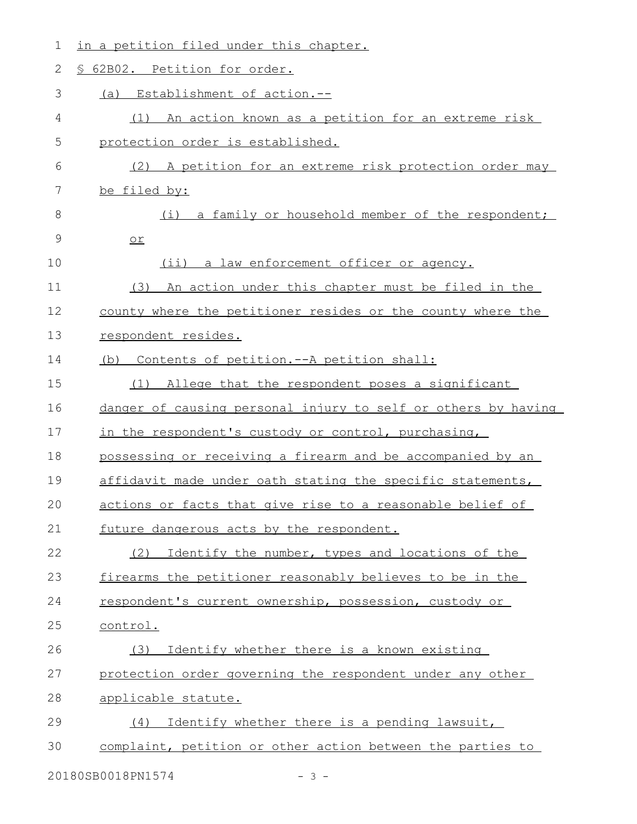| § 62B02. Petition for order.<br>2<br>3<br>Establishment of action.--<br>(a)<br>4<br>(1) An action known as a petition for an extreme risk<br>5<br>protection order is established.<br>6<br>A petition for an extreme risk protection order may<br>(2)<br>7<br>be filed by:<br>8<br>a family or household member of the respondent;<br>(i)<br>9<br>$or$<br>10<br>$(i$ ii)<br>a law enforcement officer or agency.<br>11<br>(3) An action under this chapter must be filed in the<br>12<br>county where the petitioner resides or the county where the<br>13<br>respondent resides.<br>14<br>(b) Contents of petition.--A petition shall:<br>15<br>Allege that the respondent poses a significant<br>(1)<br>16<br>danger of causing personal injury to self or others by having<br>17<br>in the respondent's custody or control, purchasing,<br>18<br>possessing or receiving a firearm and be accompanied by an<br>19<br>affidavit made under oath stating the specific statements,<br>20<br>actions or facts that give rise to a reasonable belief of<br>21<br>future dangerous acts by the respondent.<br>22<br>Identify the number, types and locations of the<br>(2) |  |
|-------------------------------------------------------------------------------------------------------------------------------------------------------------------------------------------------------------------------------------------------------------------------------------------------------------------------------------------------------------------------------------------------------------------------------------------------------------------------------------------------------------------------------------------------------------------------------------------------------------------------------------------------------------------------------------------------------------------------------------------------------------------------------------------------------------------------------------------------------------------------------------------------------------------------------------------------------------------------------------------------------------------------------------------------------------------------------------------------------------------------------------------------------------------------|--|
|                                                                                                                                                                                                                                                                                                                                                                                                                                                                                                                                                                                                                                                                                                                                                                                                                                                                                                                                                                                                                                                                                                                                                                         |  |
|                                                                                                                                                                                                                                                                                                                                                                                                                                                                                                                                                                                                                                                                                                                                                                                                                                                                                                                                                                                                                                                                                                                                                                         |  |
|                                                                                                                                                                                                                                                                                                                                                                                                                                                                                                                                                                                                                                                                                                                                                                                                                                                                                                                                                                                                                                                                                                                                                                         |  |
|                                                                                                                                                                                                                                                                                                                                                                                                                                                                                                                                                                                                                                                                                                                                                                                                                                                                                                                                                                                                                                                                                                                                                                         |  |
|                                                                                                                                                                                                                                                                                                                                                                                                                                                                                                                                                                                                                                                                                                                                                                                                                                                                                                                                                                                                                                                                                                                                                                         |  |
|                                                                                                                                                                                                                                                                                                                                                                                                                                                                                                                                                                                                                                                                                                                                                                                                                                                                                                                                                                                                                                                                                                                                                                         |  |
|                                                                                                                                                                                                                                                                                                                                                                                                                                                                                                                                                                                                                                                                                                                                                                                                                                                                                                                                                                                                                                                                                                                                                                         |  |
|                                                                                                                                                                                                                                                                                                                                                                                                                                                                                                                                                                                                                                                                                                                                                                                                                                                                                                                                                                                                                                                                                                                                                                         |  |
|                                                                                                                                                                                                                                                                                                                                                                                                                                                                                                                                                                                                                                                                                                                                                                                                                                                                                                                                                                                                                                                                                                                                                                         |  |
|                                                                                                                                                                                                                                                                                                                                                                                                                                                                                                                                                                                                                                                                                                                                                                                                                                                                                                                                                                                                                                                                                                                                                                         |  |
|                                                                                                                                                                                                                                                                                                                                                                                                                                                                                                                                                                                                                                                                                                                                                                                                                                                                                                                                                                                                                                                                                                                                                                         |  |
|                                                                                                                                                                                                                                                                                                                                                                                                                                                                                                                                                                                                                                                                                                                                                                                                                                                                                                                                                                                                                                                                                                                                                                         |  |
|                                                                                                                                                                                                                                                                                                                                                                                                                                                                                                                                                                                                                                                                                                                                                                                                                                                                                                                                                                                                                                                                                                                                                                         |  |
|                                                                                                                                                                                                                                                                                                                                                                                                                                                                                                                                                                                                                                                                                                                                                                                                                                                                                                                                                                                                                                                                                                                                                                         |  |
|                                                                                                                                                                                                                                                                                                                                                                                                                                                                                                                                                                                                                                                                                                                                                                                                                                                                                                                                                                                                                                                                                                                                                                         |  |
|                                                                                                                                                                                                                                                                                                                                                                                                                                                                                                                                                                                                                                                                                                                                                                                                                                                                                                                                                                                                                                                                                                                                                                         |  |
|                                                                                                                                                                                                                                                                                                                                                                                                                                                                                                                                                                                                                                                                                                                                                                                                                                                                                                                                                                                                                                                                                                                                                                         |  |
|                                                                                                                                                                                                                                                                                                                                                                                                                                                                                                                                                                                                                                                                                                                                                                                                                                                                                                                                                                                                                                                                                                                                                                         |  |
|                                                                                                                                                                                                                                                                                                                                                                                                                                                                                                                                                                                                                                                                                                                                                                                                                                                                                                                                                                                                                                                                                                                                                                         |  |
|                                                                                                                                                                                                                                                                                                                                                                                                                                                                                                                                                                                                                                                                                                                                                                                                                                                                                                                                                                                                                                                                                                                                                                         |  |
|                                                                                                                                                                                                                                                                                                                                                                                                                                                                                                                                                                                                                                                                                                                                                                                                                                                                                                                                                                                                                                                                                                                                                                         |  |
| 23<br>firearms the petitioner reasonably believes to be in the                                                                                                                                                                                                                                                                                                                                                                                                                                                                                                                                                                                                                                                                                                                                                                                                                                                                                                                                                                                                                                                                                                          |  |
| 24<br>respondent's current ownership, possession, custody or                                                                                                                                                                                                                                                                                                                                                                                                                                                                                                                                                                                                                                                                                                                                                                                                                                                                                                                                                                                                                                                                                                            |  |
| 25<br>control.                                                                                                                                                                                                                                                                                                                                                                                                                                                                                                                                                                                                                                                                                                                                                                                                                                                                                                                                                                                                                                                                                                                                                          |  |
| 26<br>Identify whether there is a known existing<br>(3)                                                                                                                                                                                                                                                                                                                                                                                                                                                                                                                                                                                                                                                                                                                                                                                                                                                                                                                                                                                                                                                                                                                 |  |
| 27<br>protection order governing the respondent under any other                                                                                                                                                                                                                                                                                                                                                                                                                                                                                                                                                                                                                                                                                                                                                                                                                                                                                                                                                                                                                                                                                                         |  |
| 28<br>applicable statute.                                                                                                                                                                                                                                                                                                                                                                                                                                                                                                                                                                                                                                                                                                                                                                                                                                                                                                                                                                                                                                                                                                                                               |  |
| 29<br>Identify whether there is a pending lawsuit,<br>(4)                                                                                                                                                                                                                                                                                                                                                                                                                                                                                                                                                                                                                                                                                                                                                                                                                                                                                                                                                                                                                                                                                                               |  |
| 30<br>complaint, petition or other action between the parties to                                                                                                                                                                                                                                                                                                                                                                                                                                                                                                                                                                                                                                                                                                                                                                                                                                                                                                                                                                                                                                                                                                        |  |

20180SB0018PN1574 - 3 -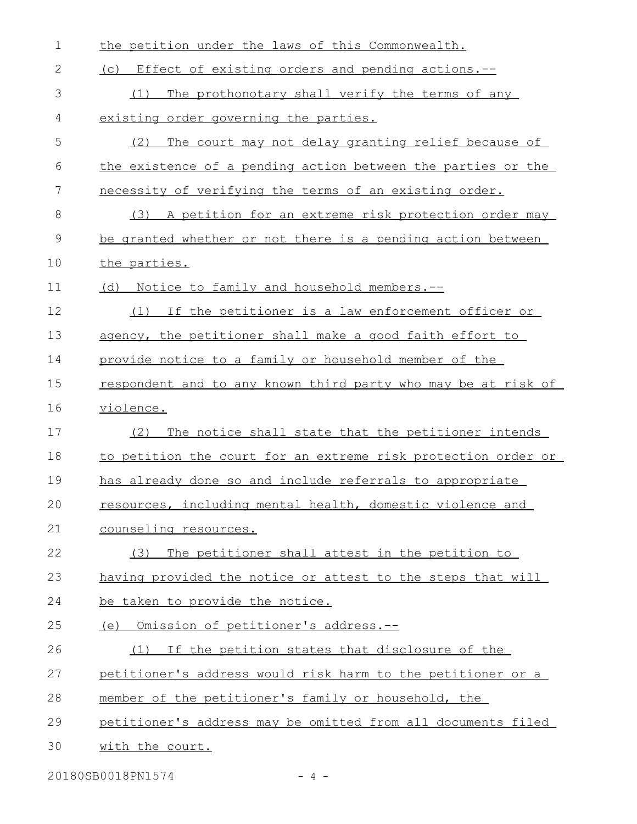| $\mathbf 1$ | the petition under the laws of this Commonwealth.             |
|-------------|---------------------------------------------------------------|
| 2           | (c) Effect of existing orders and pending actions.--          |
| 3           | The prothonotary shall verify the terms of any<br>(1)         |
| 4           | existing order governing the parties.                         |
| 5           | The court may not delay granting relief because of<br>(2)     |
| 6           | the existence of a pending action between the parties or the  |
| 7           | necessity of verifying the terms of an existing order.        |
| 8           | (3) A petition for an extreme risk protection order may       |
| 9           | be granted whether or not there is a pending action between   |
| 10          | the parties.                                                  |
| 11          | (d) Notice to family and household members.--                 |
| 12          | If the petitioner is a law enforcement officer or<br>(1)      |
| 13          | agency, the petitioner shall make a good faith effort to      |
| 14          | provide notice to a family or household member of the         |
| 15          | respondent and to any known third party who may be at risk of |
| 16          | violence.                                                     |
| 17          | The notice shall state that the petitioner intends<br>(2)     |
| 18          | to petition the court for an extreme risk protection order or |
| 19          | has already done so and include referrals to appropriate      |
| 20          | resources, including mental health, domestic violence and     |
| 21          | counseling resources.                                         |
| 22          | The petitioner shall attest in the petition to<br>(3)         |
| 23          | having provided the notice or attest to the steps that will   |
| 24          | be taken to provide the notice.                               |
| 25          | (e) Omission of petitioner's address.--                       |
| 26          | If the petition states that disclosure of the<br>(1)          |
| 27          | petitioner's address would risk harm to the petitioner or a   |
| 28          | member of the petitioner's family or household, the           |
| 29          | petitioner's address may be omitted from all documents filed  |
| 30          | with the court.                                               |
|             |                                                               |

20180SB0018PN1574 - 4 -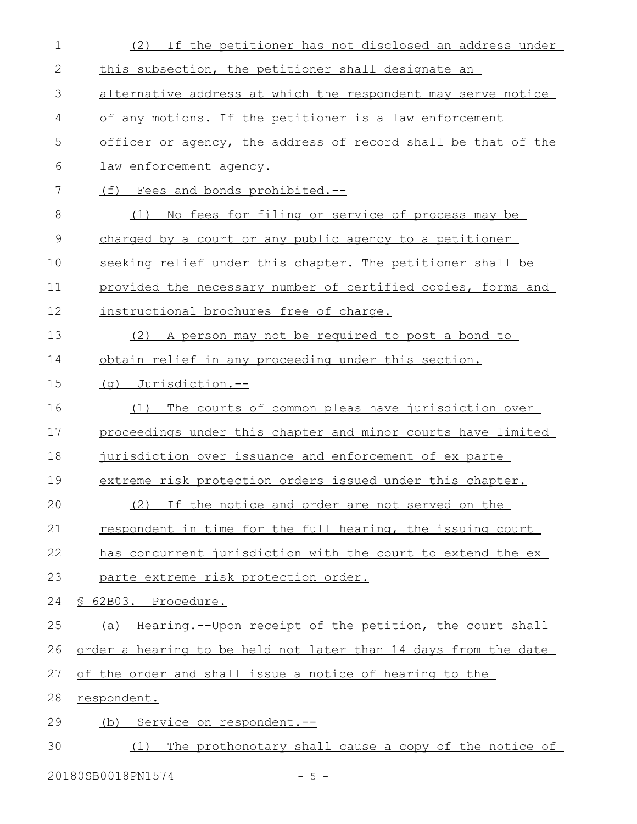| $\mathbf 1$   | If the petitioner has not disclosed an address under<br>(2)     |
|---------------|-----------------------------------------------------------------|
| 2             | this subsection, the petitioner shall designate an              |
| 3             | alternative address at which the respondent may serve notice    |
| 4             | of any motions. If the petitioner is a law enforcement          |
| 5             | officer or agency, the address of record shall be that of the   |
| 6             | law enforcement agency.                                         |
| 7             | (f)<br>Fees and bonds prohibited.--                             |
| 8             | No fees for filing or service of process may be<br>(1)          |
| $\mathcal{G}$ | charged by a court or any public agency to a petitioner         |
| 10            | seeking relief under this chapter. The petitioner shall be      |
| 11            | provided the necessary number of certified copies, forms and    |
| 12            | instructional brochures free of charge.                         |
| 13            | (2) A person may not be required to post a bond to              |
| 14            | obtain relief in any proceeding under this section.             |
| 15            | (q) Jurisdiction.--                                             |
| 16            | The courts of common pleas have jurisdiction over<br>(1)        |
| 17            | proceedings under this chapter and minor courts have limited    |
| 18            | jurisdiction over issuance and enforcement of ex parte          |
| 19            | extreme risk protection orders issued under this chapter.       |
| 20            | (2) If the notice and order are not served on the               |
| 21            | respondent in time for the full hearing, the issuing court      |
| 22            | has concurrent jurisdiction with the court to extend the ex     |
| 23            | parte extreme risk protection order.                            |
| 24            | § 62B03. Procedure.                                             |
| 25            | (a) Hearing.--Upon receipt of the petition, the court shall     |
| 26            | order a hearing to be held not later than 14 days from the date |
| 27            | of the order and shall issue a notice of hearing to the         |
| 28            | respondent.                                                     |
| 29            | (b) Service on respondent.--                                    |
| 30            | The prothonotary shall cause a copy of the notice of<br>(1)     |
|               | 20180SB0018PN1574<br>$-5 -$                                     |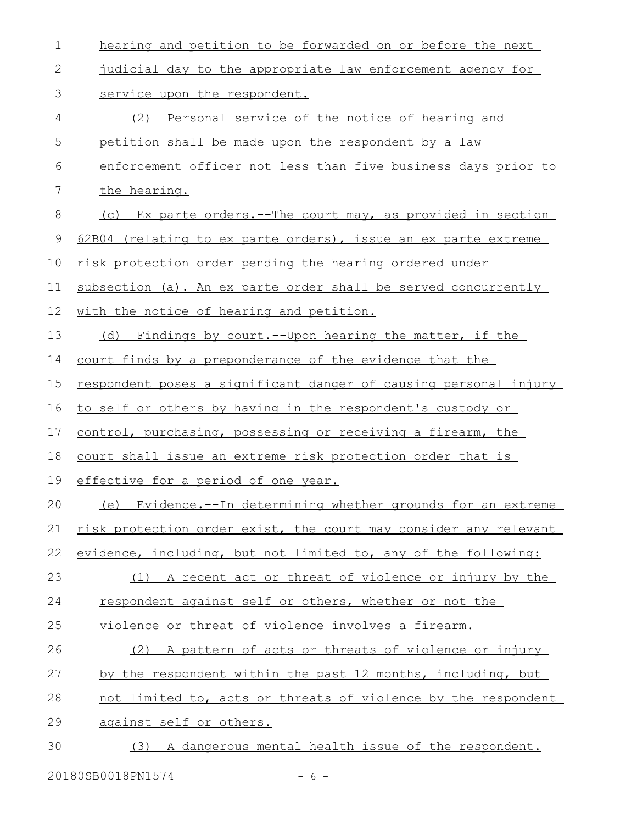| 1  | hearing and petition to be forwarded on or before the next       |
|----|------------------------------------------------------------------|
| 2  | judicial day to the appropriate law enforcement agency for       |
| 3  | service upon the respondent.                                     |
| 4  | Personal service of the notice of hearing and<br>(2)             |
| 5  | petition shall be made upon the respondent by a law              |
| 6  | enforcement officer not less than five business days prior to    |
| 7  | the hearing.                                                     |
| 8  | (c) Ex parte orders.--The court may, as provided in section      |
| 9  | 62B04 (relating to ex parte orders), issue an ex parte extreme   |
| 10 | risk protection order pending the hearing ordered under          |
| 11 | subsection (a). An ex parte order shall be served concurrently   |
| 12 | with the notice of hearing and petition.                         |
| 13 | (d) Findings by court.--Upon hearing the matter, if the          |
| 14 | court finds by a preponderance of the evidence that the          |
| 15 | respondent poses a significant danger of causing personal injury |
| 16 | to self or others by having in the respondent's custody or       |
| 17 | control, purchasing, possessing or receiving a firearm, the      |
| 18 | court shall issue an extreme risk protection order that is       |
| 19 | effective for a period of one year.                              |
| 20 | Evidence.--In determining whether grounds for an extreme<br>(e)  |
| 21 | risk protection order exist, the court may consider any relevant |
| 22 | evidence, including, but not limited to, any of the following:   |
| 23 | (1) A recent act or threat of violence or injury by the          |
| 24 | respondent against self or others, whether or not the            |
| 25 | violence or threat of violence involves a firearm.               |
| 26 | (2) A pattern of acts or threats of violence or injury           |
| 27 | by the respondent within the past 12 months, including, but      |
| 28 | not limited to, acts or threats of violence by the respondent    |
| 29 | against self or others.                                          |
| 30 | (3) A dangerous mental health issue of the respondent.           |
|    |                                                                  |

20180SB0018PN1574 - 6 -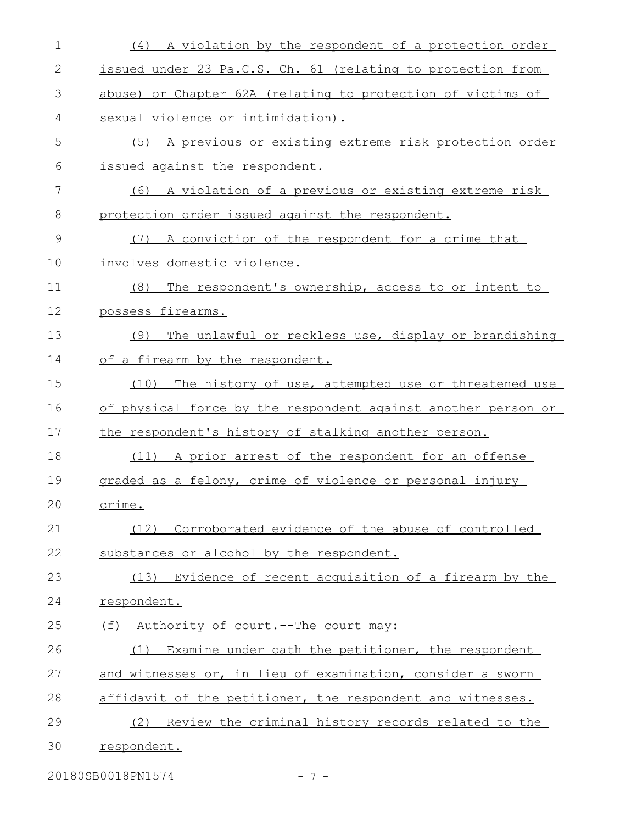| $\mathbf 1$   | (4) A violation by the respondent of a protection order       |
|---------------|---------------------------------------------------------------|
| $\mathbf{2}$  | issued under 23 Pa.C.S. Ch. 61 (relating to protection from   |
| 3             | abuse) or Chapter 62A (relating to protection of victims of   |
| 4             | sexual violence or intimidation).                             |
| 5             | (5) A previous or existing extreme risk protection order      |
| 6             | issued against the respondent.                                |
| 7             | (6) A violation of a previous or existing extreme risk        |
| 8             | protection order issued against the respondent.               |
| $\mathcal{G}$ | A conviction of the respondent for a crime that<br>(7)        |
| 10            | involves domestic violence.                                   |
| 11            | The respondent's ownership, access to or intent to<br>(8)     |
| 12            | possess firearms.                                             |
| 13            | The unlawful or reckless use, display or brandishing<br>(9)   |
| 14            | of a firearm by the respondent.                               |
| 15            | (10) The history of use, attempted use or threatened use      |
| 16            | of physical force by the respondent against another person or |
| 17            | the respondent's history of stalking another person.          |
| 18            | (11) A prior arrest of the respondent for an offense          |
| 19            | graded as a felony, crime of violence or personal injury      |
| 20            | crime.                                                        |
| 21            | (12) Corroborated evidence of the abuse of controlled         |
| 22            | substances or alcohol by the respondent.                      |
| 23            | (13) Evidence of recent acquisition of a firearm by the       |
| 24            | respondent.                                                   |
| 25            | Authority of court.--The court may:<br>(f)                    |
| 26            | Examine under oath the petitioner, the respondent<br>(1)      |
| 27            | and witnesses or, in lieu of examination, consider a sworn    |
| 28            | affidavit of the petitioner, the respondent and witnesses.    |
| 29            | Review the criminal history records related to the<br>(2)     |
| 30            | respondent.                                                   |
|               |                                                               |

20180SB0018PN1574 - 7 -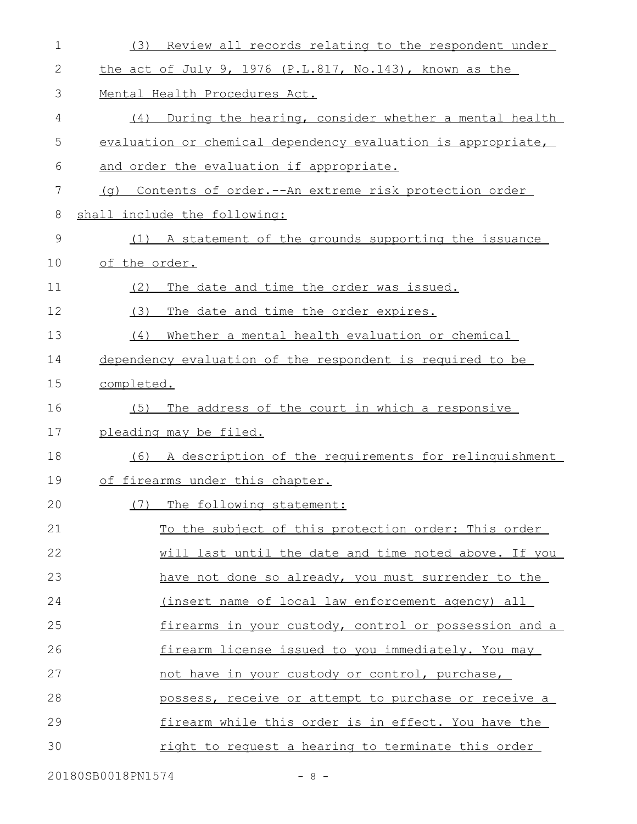| $\mathbf 1$ | Review all records relating to the respondent under<br>(3)   |
|-------------|--------------------------------------------------------------|
| 2           | the act of July 9, 1976 (P.L.817, No.143), known as the      |
| 3           | Mental Health Procedures Act.                                |
| 4           | During the hearing, consider whether a mental health<br>(4)  |
| 5           | evaluation or chemical dependency evaluation is appropriate, |
| 6           | and order the evaluation if appropriate.                     |
| 7           | (g) Contents of order.--An extreme risk protection order     |
| 8           | shall include the following:                                 |
| 9           | (1) A statement of the grounds supporting the issuance       |
| 10          | of the order.                                                |
| 11          | The date and time the order was issued.<br>(2)               |
| 12          | The date and time the order expires.<br>(3)                  |
| 13          | (4)<br>Whether a mental health evaluation or chemical        |
| 14          | dependency evaluation of the respondent is required to be    |
| 15          | completed.                                                   |
| 16          | The address of the court in which a responsive<br>(5)        |
| 17          | pleading may be filed.                                       |
| 18          | A description of the requirements for relinquishment<br>(6)  |
| 19          | of firearms under this chapter.                              |
| 20          | (7) The following statement:                                 |
| 21          | To the subject of this protection order: This order          |
| 22          | will last until the date and time noted above. If you        |
| 23          | have not done so already, you must surrender to the          |
| 24          | (insert name of local law enforcement agency) all            |
| 25          | firearms in your custody, control or possession and a        |
| 26          | firearm license issued to you immediately. You may           |
| 27          | not have in your custody or control, purchase,               |
| 28          | possess, receive or attempt to purchase or receive a         |
| 29          | firearm while this order is in effect. You have the          |
| 30          | right to request a hearing to terminate this order           |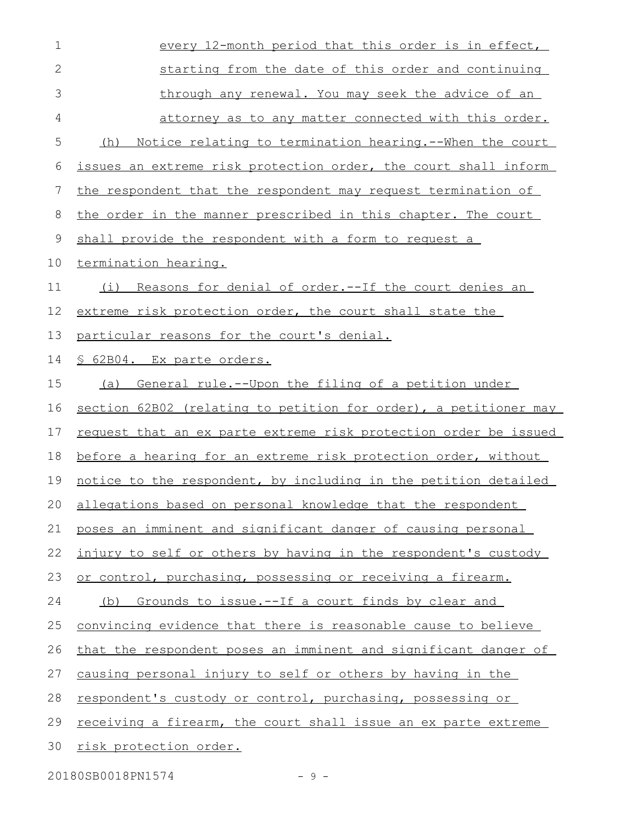| $\mathbf 1$  | every 12-month period that this order is in effect,                     |
|--------------|-------------------------------------------------------------------------|
| $\mathbf{2}$ | starting from the date of this order and continuing                     |
| 3            | through any renewal. You may seek the advice of an                      |
| 4            | attorney as to any matter connected with this order.                    |
| 5            | <u>Notice relating to termination hearing.--When the court</u><br>(h)   |
| 6            | issues an extreme risk protection order, the court shall inform         |
| 7            | the respondent that the respondent may request termination of           |
| 8            | the order in the manner prescribed in this chapter. The court           |
| 9            | shall provide the respondent with a form to request a                   |
| 10           | termination hearing.                                                    |
| 11           | <u>Reasons for denial of order.--If the court denies an</u><br>(i)      |
| 12           | extreme risk protection order, the court shall state the                |
| 13           | particular reasons for the court's denial.                              |
| 14           | § 62B04. Ex parte orders.                                               |
| 15           | General rule.--Upon the filing of a petition under<br>(a)               |
| 16           | section 62B02 (relating to petition for order), a petitioner may        |
| 17           | <u>request that an ex parte extreme risk protection order be issued</u> |
| 18           | before a hearing for an extreme risk protection order, without          |
| 19           | notice to the respondent, by including in the petition detailed         |
|              | 20 allegations based on personal knowledge that the respondent          |
| 21           | poses an imminent and significant danger of causing personal            |
| 22           | injury to self or others by having in the respondent's custody          |
| 23           | or control, purchasing, possessing or receiving a firearm.              |
| 24           | (b) Grounds to issue.--If a court finds by clear and                    |
| 25           | convincing evidence that there is reasonable cause to believe           |
| 26           | that the respondent poses an imminent and significant danger of         |
| 27           | causing personal injury to self or others by having in the              |
| 28           | respondent's custody or control, purchasing, possessing or              |
| 29           | receiving a firearm, the court shall issue an ex parte extreme          |
| 30           | risk protection order.                                                  |
|              |                                                                         |

20180SB0018PN1574 - 9 -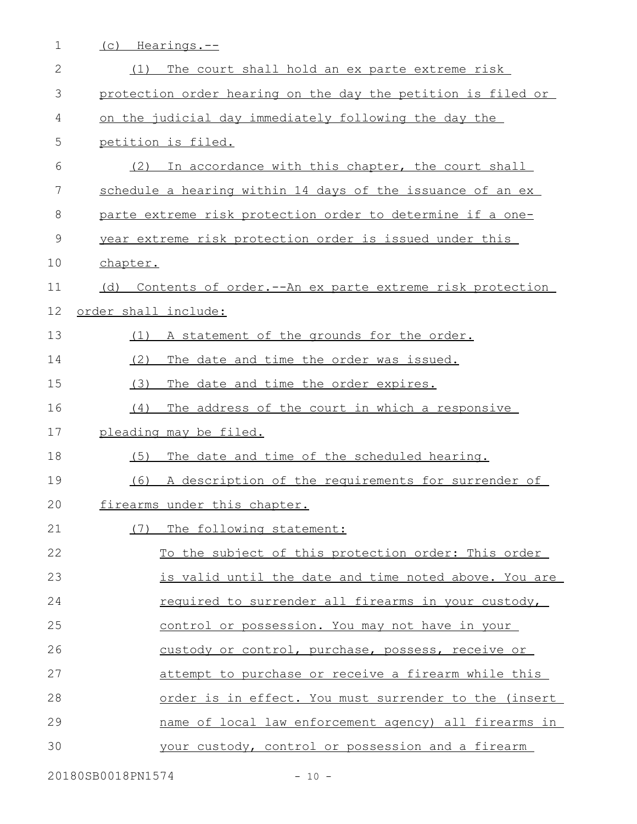| $\mathbf 1$  | (c) Hearings.--                                                |
|--------------|----------------------------------------------------------------|
| $\mathbf{2}$ | The court shall hold an ex parte extreme risk<br>(1)           |
| 3            | protection order hearing on the day the petition is filed or   |
| 4            | on the judicial day immediately following the day the          |
| 5            | petition is filed.                                             |
| 6            | In accordance with this chapter, the court shall<br>(2)        |
| 7            | schedule a hearing within 14 days of the issuance of an ex     |
| 8            | parte extreme risk protection order to determine if a one-     |
| $\mathsf 9$  | year extreme risk protection order is issued under this        |
| 10           | chapter.                                                       |
| 11           | Contents of order.--An ex parte extreme risk protection<br>(d) |
| 12           | order shall include:                                           |
| 13           | A statement of the grounds for the order.<br>(1)               |
| 14           | The date and time the order was issued.<br>(2)                 |
| 15           | (3)<br>The date and time the order expires.                    |
| 16           | The address of the court in which a responsive<br>(4)          |
| 17           | pleading may be filed.                                         |
| 18           | The date and time of the scheduled hearing.<br>(5)             |
| 19           | A description of the requirements for surrender of<br>(6)      |
| 20           | firearms under this chapter.                                   |
| 21           | The following statement:<br>(7)                                |
| 22           | To the subject of this protection order: This order            |
| 23           | is valid until the date and time noted above. You are          |
| 24           | required to surrender all firearms in your custody,            |
| 25           | control or possession. You may not have in your                |
| 26           | custody or control, purchase, possess, receive or              |
| 27           | attempt to purchase or receive a firearm while this            |
| 28           | order is in effect. You must surrender to the (insert          |
| 29           | name of local law enforcement agency) all firearms in          |
| 30           | your custody, control or possession and a firearm              |

20180SB0018PN1574 - 10 -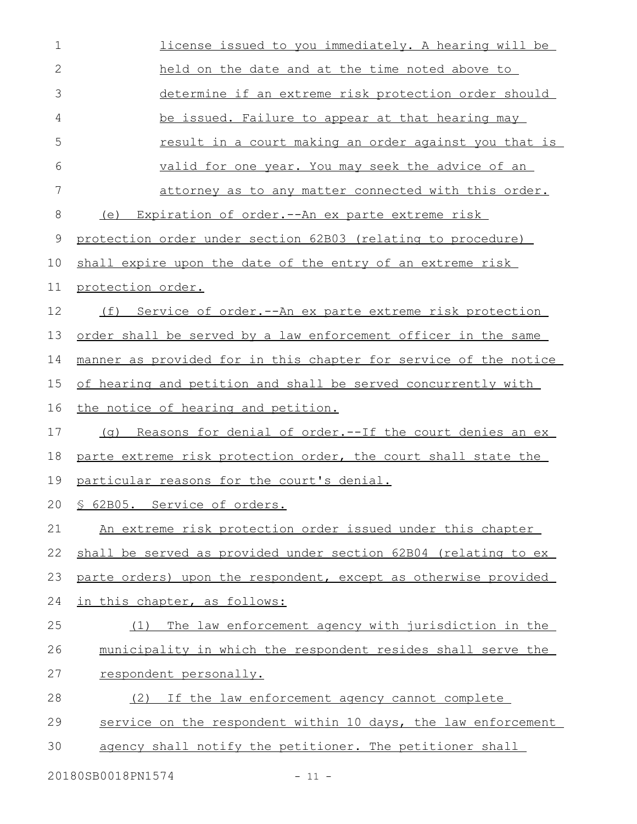| 1            | license issued to you immediately. A hearing will be             |
|--------------|------------------------------------------------------------------|
| $\mathbf{2}$ | held on the date and at the time noted above to                  |
| 3            | determine if an extreme risk protection order should             |
| 4            | be issued. Failure to appear at that hearing may                 |
| 5            | result in a court making an order against you that is            |
| 6            | valid for one year. You may seek the advice of an                |
| 7            | <u>attorney as to any matter connected with this order.</u>      |
| 8            | (e)<br><u>Expiration of order.--An ex parte extreme risk</u>     |
| 9            | protection order under section 62B03 (relating to procedure)     |
| 10           | shall expire upon the date of the entry of an extreme risk       |
| 11           | protection order.                                                |
| 12           | Service of order.--An ex parte extreme risk protection<br>(f)    |
| 13           | order shall be served by a law enforcement officer in the same   |
| 14           | manner as provided for in this chapter for service of the notice |
| 15           | of hearing and petition and shall be served concurrently with    |
| 16           | the notice of hearing and petition.                              |
| 17           | (g) Reasons for denial of order.--If the court denies an ex      |
| 18           | parte extreme risk protection order, the court shall state the   |
| 19           | particular reasons for the court's denial.                       |
| 20           | § 62B05. Service of orders.                                      |
| 21           | An extreme risk protection order issued under this chapter       |
| 22           | shall be served as provided under section 62B04 (relating to ex  |
| 23           | parte orders) upon the respondent, except as otherwise provided  |
| 24           | in this chapter, as follows:                                     |
| 25           | The law enforcement agency with jurisdiction in the<br>(1)       |
| 26           | municipality in which the respondent resides shall serve the     |
| 27           | respondent personally.                                           |
| 28           | If the law enforcement agency cannot complete<br>(2)             |
| 29           | service on the respondent within 10 days, the law enforcement    |
| 30           | agency shall notify the petitioner. The petitioner shall         |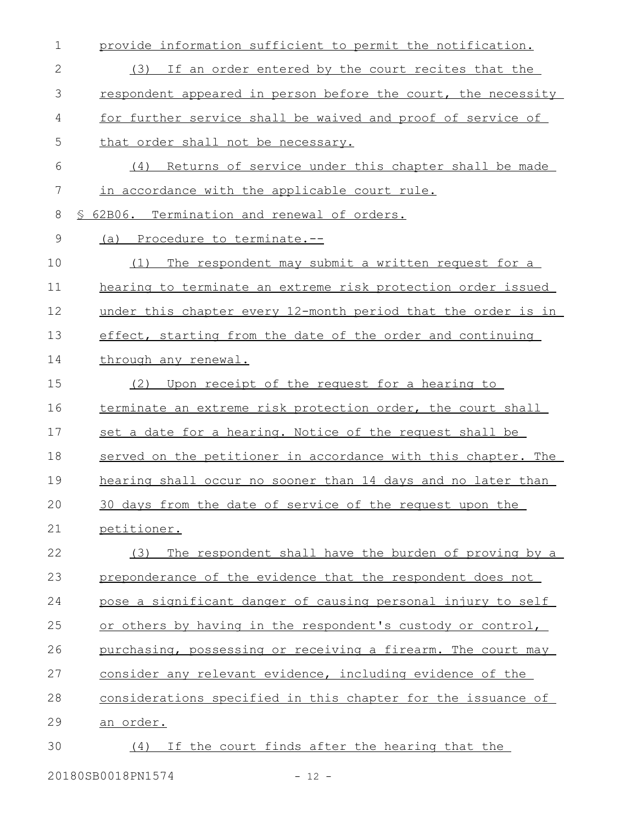| 1             | provide information sufficient to permit the notification.    |
|---------------|---------------------------------------------------------------|
| 2             | (3) If an order entered by the court recites that the         |
| 3             | respondent appeared in person before the court, the necessity |
| 4             | for further service shall be waived and proof of service of   |
| 5             | that order shall not be necessary.                            |
| 6             | Returns of service under this chapter shall be made<br>(4)    |
| 7             | in accordance with the applicable court rule.                 |
| 8             | 62B06. Termination and renewal of orders.                     |
| $\mathcal{G}$ | (a) Procedure to terminate.--                                 |
| 10            | The respondent may submit a written request for a<br>(1)      |
| 11            | hearing to terminate an extreme risk protection order issued  |
| 12            | under this chapter every 12-month period that the order is in |
| 13            | effect, starting from the date of the order and continuing    |
| 14            | through any renewal.                                          |
| 15            | Upon receipt of the request for a hearing to<br>(2)           |
| 16            | terminate an extreme risk protection order, the court shall   |
| 17            | set a date for a hearing. Notice of the request shall be      |
| 18            | served on the petitioner in accordance with this chapter. The |
| 19            | hearing shall occur no sooner than 14 days and no later than  |
| 20            | 30 days from the date of service of the request upon the      |
| 21            | petitioner.                                                   |
| 22            | The respondent shall have the burden of proving by a<br>(3)   |
| 23            | preponderance of the evidence that the respondent does not    |
| 24            | pose a significant danger of causing personal injury to self  |
| 25            | or others by having in the respondent's custody or control,   |
| 26            | purchasing, possessing or receiving a firearm. The court may  |
| 27            | consider any relevant evidence, including evidence of the     |
| 28            | considerations specified in this chapter for the issuance of  |
| 29            | an order.                                                     |
| 30            | If the court finds after the hearing that the<br>(4)          |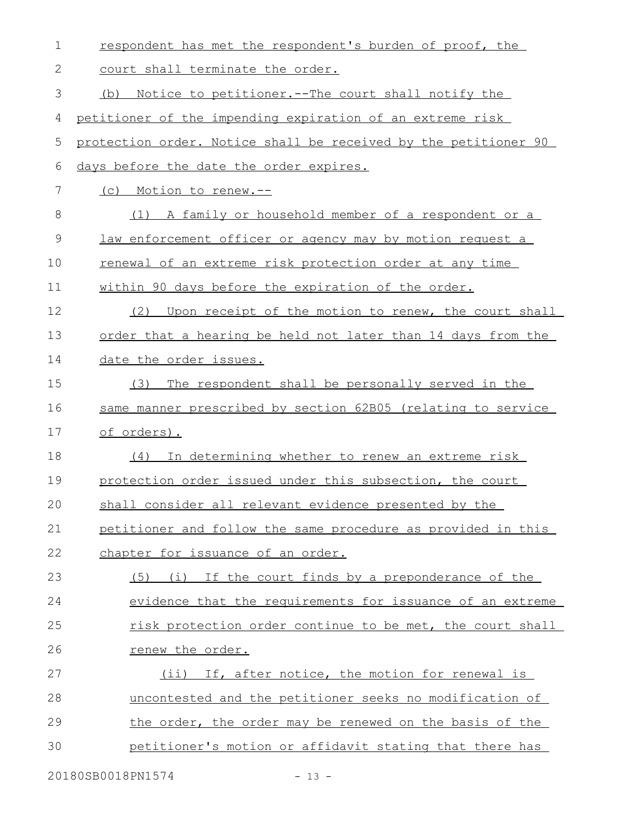| 1  | respondent has met the respondent's burden of proof, the        |
|----|-----------------------------------------------------------------|
| 2  | court shall terminate the order.                                |
| 3  | <u>Notice to petitioner.--The court shall notify the</u><br>(b) |
| 4  | petitioner of the impending expiration of an extreme risk       |
| 5  | protection order. Notice shall be received by the petitioner 90 |
| 6  | days before the date the order expires.                         |
| 7  | (c) Motion to renew.--                                          |
| 8  | (1) A family or household member of a respondent or a           |
| 9  | law enforcement officer or agency may by motion request a       |
| 10 | renewal of an extreme risk protection order at any time         |
| 11 | within 90 days before the expiration of the order.              |
| 12 | Upon receipt of the motion to renew, the court shall<br>(2)     |
| 13 | order that a hearing be held not later than 14 days from the    |
| 14 | date the order issues.                                          |
| 15 | The respondent shall be personally served in the<br>(3)         |
| 16 | same manner prescribed by section 62B05 (relating to service    |
| 17 | of orders).                                                     |
| 18 | (4) In determining whether to renew an extreme risk             |
| 19 | protection order issued under this subsection, the court        |
| 20 | shall consider all relevant evidence presented by the           |
| 21 | petitioner and follow the same procedure as provided in this    |
| 22 | chapter for issuance of an order.                               |
| 23 | (5) (i) If the court finds by a preponderance of the            |
| 24 | evidence that the requirements for issuance of an extreme       |
| 25 | risk protection order continue to be met, the court shall       |
| 26 | renew the order.                                                |
| 27 | (ii) If, after notice, the motion for renewal is                |
| 28 | uncontested and the petitioner seeks no modification of         |
| 29 | the order, the order may be renewed on the basis of the         |
| 30 | petitioner's motion or affidavit stating that there has         |
|    |                                                                 |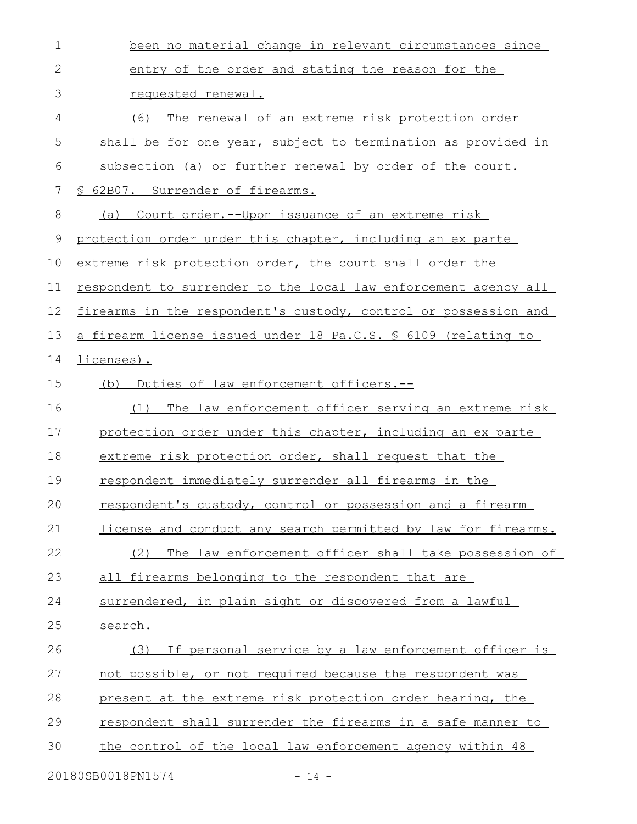| $\mathbf 1$  | been no material change in relevant circumstances since         |
|--------------|-----------------------------------------------------------------|
| $\mathbf{2}$ | entry of the order and stating the reason for the               |
| 3            | requested renewal.                                              |
| 4            | The renewal of an extreme risk protection order<br>(6)          |
| 5            | shall be for one year, subject to termination as provided in    |
| 6            | subsection (a) or further renewal by order of the court.        |
| 7            | § 62B07. Surrender of firearms.                                 |
| 8            | Court order.--Upon issuance of an extreme risk<br>(a)           |
| $\mathsf 9$  | protection order under this chapter, including an ex parte      |
| 10           | extreme risk protection order, the court shall order the        |
| 11           | respondent to surrender to the local law enforcement agency all |
| 12           | firearms in the respondent's custody, control or possession and |
| 13           | a firearm license issued under 18 Pa.C.S. \$ 6109 (relating to  |
| 14           | licenses).                                                      |
| 15           | (b) Duties of law enforcement officers.--                       |
| 16           | The law enforcement officer serving an extreme risk<br>(1)      |
| 17           | protection order under this chapter, including an ex parte      |
| 18           | extreme risk protection order, shall request that the           |
| 19           | respondent immediately surrender all firearms in the            |
| 20           | respondent's custody, control or possession and a firearm       |
| 21           | license and conduct any search permitted by law for firearms.   |
| 22           | The law enforcement officer shall take possession of<br>(2)     |
| 23           | all firearms belonging to the respondent that are               |
| 24           | surrendered, in plain sight or discovered from a lawful         |
| 25           | search.                                                         |
| 26           | (3) If personal service by a law enforcement officer is         |
| 27           | not possible, or not required because the respondent was        |
| 28           | present at the extreme risk protection order hearing, the       |
| 29           | respondent shall surrender the firearms in a safe manner to     |
| 30           | the control of the local law enforcement agency within 48       |
|              | 20180SB0018PN1574<br>$-14 -$                                    |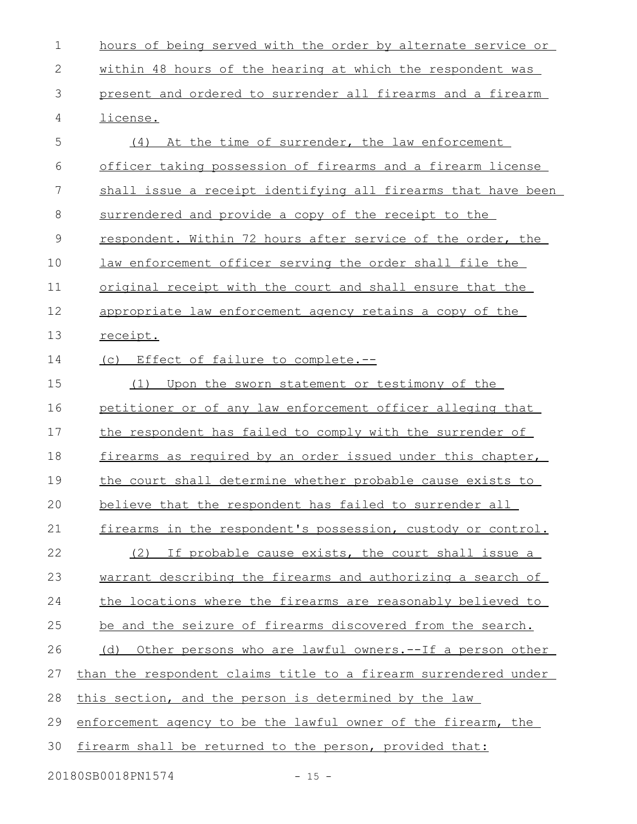hours of being served with the order by alternate service or within 48 hours of the hearing at which the respondent was present and ordered to surrender all firearms and a firearm license. (4) At the time of surrender, the law enforcement officer taking possession of firearms and a firearm license shall issue a receipt identifying all firearms that have been surrendered and provide a copy of the receipt to the respondent. Within 72 hours after service of the order, the law enforcement officer serving the order shall file the original receipt with the court and shall ensure that the appropriate law enforcement agency retains a copy of the receipt. (c) Effect of failure to complete.-- (1) Upon the sworn statement or testimony of the petitioner or of any law enforcement officer alleging that the respondent has failed to comply with the surrender of firearms as required by an order issued under this chapter, the court shall determine whether probable cause exists to believe that the respondent has failed to surrender all firearms in the respondent's possession, custody or control. (2) If probable cause exists, the court shall issue a warrant describing the firearms and authorizing a search of the locations where the firearms are reasonably believed to be and the seizure of firearms discovered from the search. (d) Other persons who are lawful owners.--If a person other than the respondent claims title to a firearm surrendered under this section, and the person is determined by the law enforcement agency to be the lawful owner of the firearm, the firearm shall be returned to the person, provided that: 20180SB0018PN1574 - 15 -1 2 3 4 5 6 7 8 9 10 11 12 13 14 15 16 17 18 19 20 21 22 23 24 25 26 27 28 29 30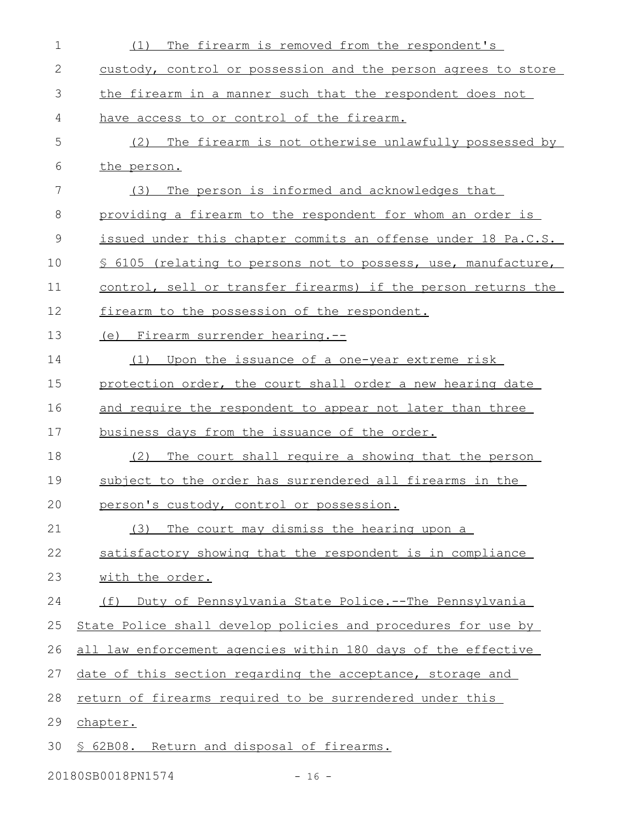| $\mathbf 1$   | The firearm is removed from the respondent's<br>(1)            |
|---------------|----------------------------------------------------------------|
| 2             | custody, control or possession and the person agrees to store  |
| 3             | the firearm in a manner such that the respondent does not      |
| 4             | have access to or control of the firearm.                      |
| 5             | The firearm is not otherwise unlawfully possessed by<br>(2)    |
| 6             | the person.                                                    |
| 7             | The person is informed and acknowledges that<br>(3)            |
| 8             | providing a firearm to the respondent for whom an order is     |
| $\mathcal{G}$ | issued under this chapter commits an offense under 18 Pa.C.S.  |
| 10            | \$ 6105 (relating to persons not to possess, use, manufacture, |
| 11            | control, sell or transfer firearms) if the person returns the  |
| 12            | firearm to the possession of the respondent.                   |
| 13            | (e) Firearm surrender hearing.--                               |
| 14            | (1) Upon the issuance of a one-year extreme risk               |
| 15            | protection order, the court shall order a new hearing date     |
| 16            | and require the respondent to appear not later than three      |
| 17            | business days from the issuance of the order.                  |
| 18            | The court shall require a showing that the person<br>(2)       |
| 19            | subject to the order has surrendered all firearms in the       |
| 20            | person's custody, control or possession.                       |
| 21            | The court may dismiss the hearing upon a<br>(3)                |
| 22            | satisfactory showing that the respondent is in compliance      |
| 23            | with the order.                                                |
| 24            | Duty of Pennsylvania State Police.--The Pennsylvania<br>(f)    |
| 25            | State Police shall develop policies and procedures for use by  |
| 26            | all law enforcement agencies within 180 days of the effective  |
| 27            | date of this section regarding the acceptance, storage and     |
| 28            | return of firearms required to be surrendered under this       |
| 29            | chapter.                                                       |
| 30            | § 62B08. Return and disposal of firearms.                      |
|               |                                                                |

20180SB0018PN1574 - 16 -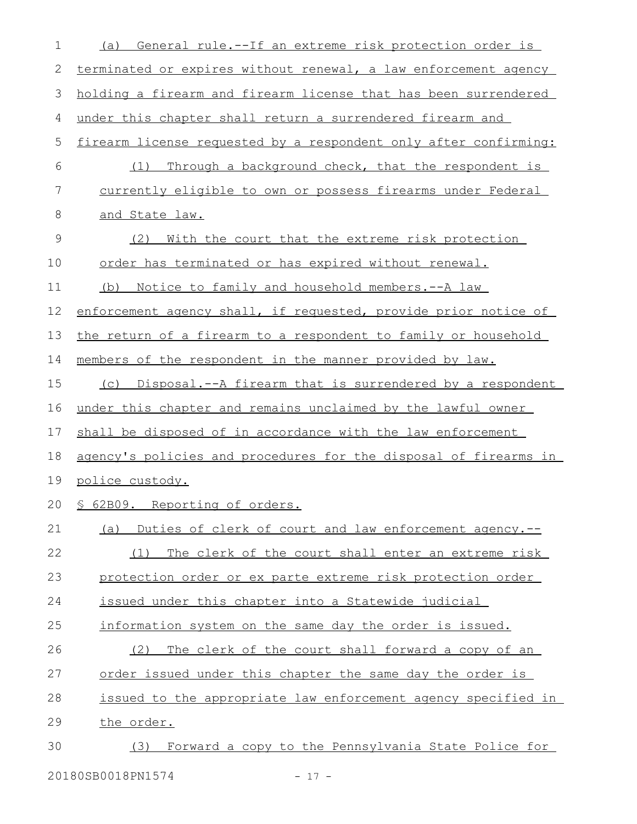| 1             | General rule.--If an extreme risk protection order is<br>(a)     |
|---------------|------------------------------------------------------------------|
| 2             | terminated or expires without renewal, a law enforcement agency  |
| 3             | holding a firearm and firearm license that has been surrendered  |
| 4             | under this chapter shall return a surrendered firearm and        |
| 5             | firearm license requested by a respondent only after confirming: |
| 6             | Through a background check, that the respondent is<br>(1)        |
| 7             | currently eligible to own or possess firearms under Federal      |
| 8             | and State law.                                                   |
| $\mathcal{G}$ | (2)<br>With the court that the extreme risk protection           |
| 10            | order has terminated or has expired without renewal.             |
| 11            | Notice to family and household members. -- A law<br>(b)          |
| 12            | enforcement agency shall, if requested, provide prior notice of  |
| 13            | the return of a firearm to a respondent to family or household   |
| 14            | members of the respondent in the manner provided by law.         |
| 15            | (c) Disposal.--A firearm that is surrendered by a respondent     |
| 16            | under this chapter and remains unclaimed by the lawful owner     |
| 17            | shall be disposed of in accordance with the law enforcement      |
| 18            | agency's policies and procedures for the disposal of firearms in |
| 19            | police custody.                                                  |
|               | 20 § 62B09. Reporting of orders.                                 |
| 21            | (a) Duties of clerk of court and law enforcement agency.--       |
| 22            | The clerk of the court shall enter an extreme risk<br>(1)        |
| 23            | protection order or ex parte extreme risk protection order       |
| 24            | issued under this chapter into a Statewide judicial              |
| 25            | information system on the same day the order is issued.          |
| 26            | The clerk of the court shall forward a copy of an<br>(2)         |
| 27            | order issued under this chapter the same day the order is        |
| 28            | issued to the appropriate law enforcement agency specified in    |
| 29            | the order.                                                       |
| 30            | Forward a copy to the Pennsylvania State Police for<br>(3)       |
|               |                                                                  |

20180SB0018PN1574 - 17 -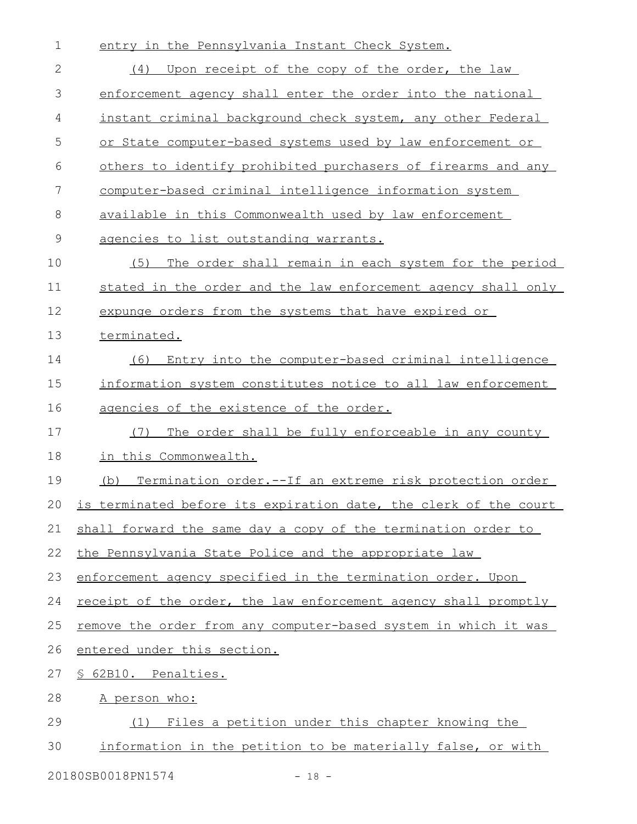| $\mathbf 1$  | entry in the Pennsylvania Instant Check System.                  |
|--------------|------------------------------------------------------------------|
| $\mathbf{2}$ | Upon receipt of the copy of the order, the law<br>(4)            |
| 3            | enforcement agency shall enter the order into the national       |
| 4            | instant criminal background check system, any other Federal      |
| 5            | or State computer-based systems used by law enforcement or       |
| 6            | others to identify prohibited purchasers of firearms and any     |
| 7            | computer-based criminal intelligence information system          |
| 8            | available in this Commonwealth used by law enforcement           |
| 9            | agencies to list outstanding warrants.                           |
| 10           | The order shall remain in each system for the period<br>(5)      |
| 11           | stated in the order and the law enforcement agency shall only    |
| 12           | expunge orders from the systems that have expired or             |
| 13           | terminated.                                                      |
| 14           | Entry into the computer-based criminal intelligence<br>(6)       |
| 15           | information system constitutes notice to all law enforcement     |
| 16           | agencies of the existence of the order.                          |
| 17           | The order shall be fully enforceable in any county<br>(7)        |
| 18           | in this Commonwealth.                                            |
| 19           | Termination order.--If an extreme risk protection order<br>(b)   |
| 20           | is terminated before its expiration date, the clerk of the court |
| 21           | shall forward the same day a copy of the termination order to    |
| 22           | the Pennsylvania State Police and the appropriate law            |
| 23           | enforcement agency specified in the termination order. Upon      |
| 24           | receipt of the order, the law enforcement agency shall promptly  |
| 25           | remove the order from any computer-based system in which it was  |
| 26           | entered under this section.                                      |
| 27           | § 62B10. Penalties.                                              |
| 28           | A person who:                                                    |
| 29           | Files a petition under this chapter knowing the<br>(1)           |
| 30           | information in the petition to be materially false, or with      |
|              |                                                                  |

20180SB0018PN1574 - 18 -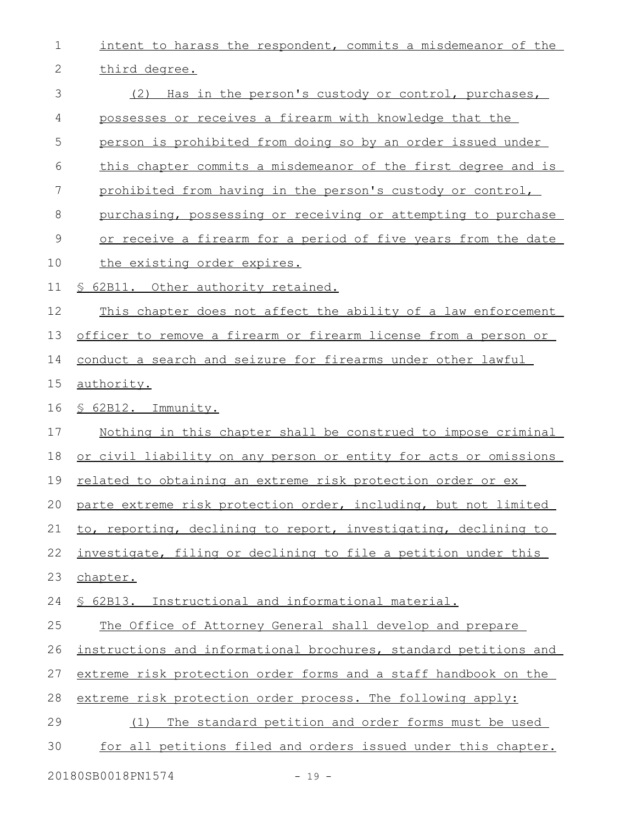intent to harass the respondent, commits a misdemeanor of the third degree. (2) Has in the person's custody or control, purchases, possesses or receives a firearm with knowledge that the person is prohibited from doing so by an order issued under this chapter commits a misdemeanor of the first degree and is prohibited from having in the person's custody or control, purchasing, possessing or receiving or attempting to purchase or receive a firearm for a period of five years from the date the existing order expires. § 62B11. Other authority retained. This chapter does not affect the ability of a law enforcement officer to remove a firearm or firearm license from a person or conduct a search and seizure for firearms under other lawful authority. § 62B12. Immunity. Nothing in this chapter shall be construed to impose criminal or civil liability on any person or entity for acts or omissions related to obtaining an extreme risk protection order or ex parte extreme risk protection order, including, but not limited to, reporting, declining to report, investigating, declining to investigate, filing or declining to file a petition under this chapter. § 62B13. Instructional and informational material. The Office of Attorney General shall develop and prepare instructions and informational brochures, standard petitions and extreme risk protection order forms and a staff handbook on the extreme risk protection order process. The following apply: (1) The standard petition and order forms must be used for all petitions filed and orders issued under this chapter. 1 2 3 4 5 6 7 8 9 10 11 12 13 14 15 16 17 18 19 20 21 22 23 24 25 26 27 28 29 30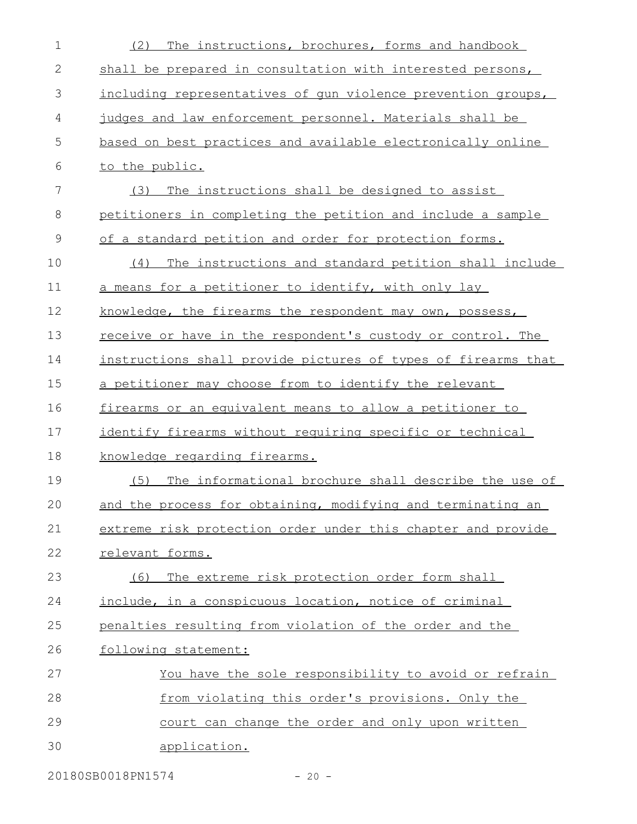| $\mathbf 1$   | The instructions, brochures, forms and handbook<br>(2)             |
|---------------|--------------------------------------------------------------------|
| 2             | shall be prepared in consultation with interested persons,         |
| 3             | including representatives of gun violence prevention groups,       |
| 4             | judges and law enforcement personnel. Materials shall be           |
| 5             | based on best practices and available electronically online        |
| 6             | to the public.                                                     |
| 7             | (3)<br>The instructions shall be designed to assist                |
| 8             | petitioners in completing the petition and include a sample        |
| $\mathcal{G}$ | of a standard petition and order for protection forms.             |
| 10            | The instructions and standard petition shall include<br>(4)        |
| 11            | a means for a petitioner to identify, with only lay                |
| 12            | knowledge, the firearms the respondent may own, possess,           |
| 13            | <u>receive or have in the respondent's custody or control. The</u> |
| 14            | instructions shall provide pictures of types of firearms that      |
| 15            | a petitioner may choose from to identify the relevant              |
| 16            | firearms or an equivalent means to allow a petitioner to           |
| 17            | identify firearms without requiring specific or technical          |
| 18            | knowledge regarding firearms.                                      |
| 19            | The informational brochure shall describe the use of<br>(5)        |
| 20            | and the process for obtaining, modifying and terminating an        |
| 21            | extreme risk protection order under this chapter and provide       |
| 22            | relevant forms.                                                    |
| 23            | The extreme risk protection order form shall<br>(6)                |
| 24            | include, in a conspicuous location, notice of criminal             |
| 25            | penalties resulting from violation of the order and the            |
| 26            | following statement:                                               |
| 27            | You have the sole responsibility to avoid or refrain               |
| 28            | from violating this order's provisions. Only the                   |
| 29            | court can change the order and only upon written                   |
| 30            | application.                                                       |
|               |                                                                    |

20180SB0018PN1574 - 20 -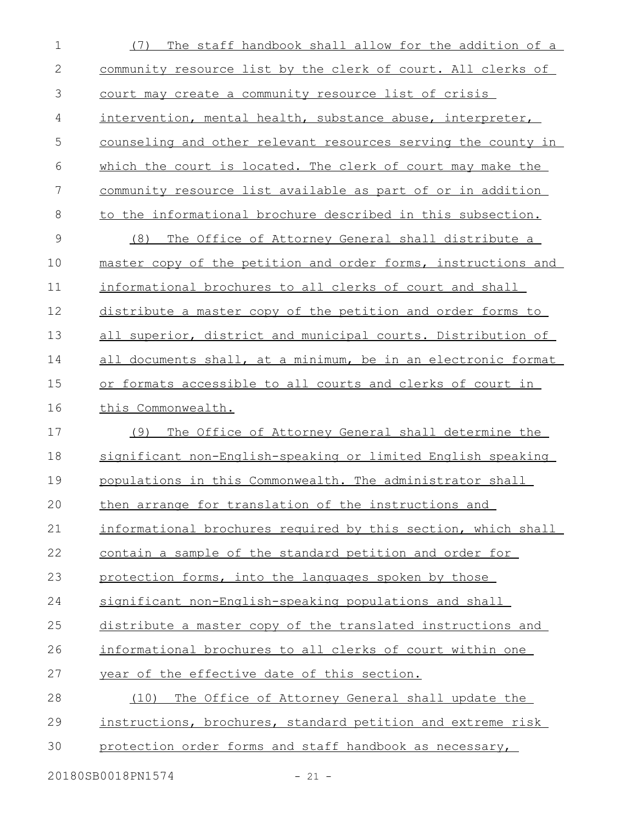| $\mathbf 1$   | The staff handbook shall allow for the addition of a<br>(7)          |
|---------------|----------------------------------------------------------------------|
| $\mathbf{2}$  | community resource list by the clerk of court. All clerks of         |
| 3             | court may create a community resource list of crisis                 |
| 4             | intervention, mental health, substance abuse, interpreter,           |
| 5             | <u>counseling and other relevant resources serving the county in</u> |
| 6             | which the court is located. The clerk of court may make the          |
| 7             | community resource list available as part of or in addition          |
| 8             | to the informational brochure described in this subsection.          |
| $\mathcal{G}$ | (8)<br>The Office of Attorney General shall distribute a             |
| 10            | master copy of the petition and order forms, instructions and        |
| 11            | informational brochures to all clerks of court and shall             |
| 12            | distribute a master copy of the petition and order forms to          |
| 13            | all superior, district and municipal courts. Distribution of         |
| 14            | all documents shall, at a minimum, be in an electronic format        |
| 15            | or formats accessible to all courts and clerks of court in           |
| 16            | this Commonwealth.                                                   |
| 17            | The Office of Attorney General shall determine the<br>(9)            |
| 18            | significant non-English-speaking or limited English speaking         |
| 19            | populations in this Commonwealth. The administrator shall            |
| 20            | then arrange for translation of the instructions and                 |
| 21            | informational brochures required by this section, which shall        |
| 22            | contain a sample of the standard petition and order for              |
| 23            | protection forms, into the languages spoken by those                 |
| 24            | significant non-English-speaking populations and shall               |
| 25            | distribute a master copy of the translated instructions and          |
| 26            | informational brochures to all clerks of court within one            |
| 27            | year of the effective date of this section.                          |
| 28            | (10)<br>The Office of Attorney General shall update the              |
| 29            | instructions, brochures, standard petition and extreme risk          |
| 30            | protection order forms and staff handbook as necessary,              |
|               | 20180SB0018PN1574<br>$-21 -$                                         |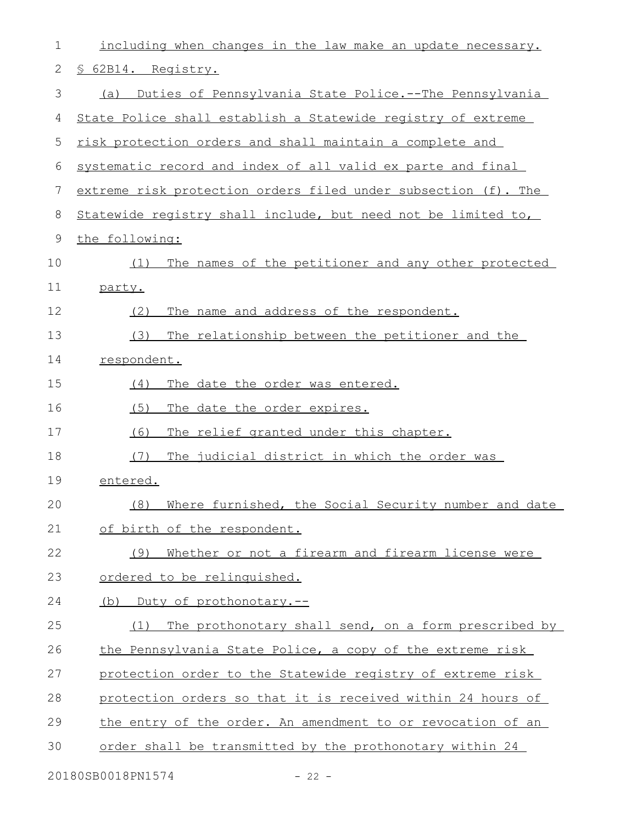| 1  | including when changes in the law make an update necessary.    |
|----|----------------------------------------------------------------|
| 2  | § 62B14. Registry.                                             |
| 3  | Duties of Pennsylvania State Police.--The Pennsylvania<br>(a)  |
| 4  | State Police shall establish a Statewide registry of extreme   |
| 5  | risk protection orders and shall maintain a complete and       |
| 6  | systematic record and index of all valid ex parte and final    |
| 7  | extreme risk protection orders filed under subsection (f). The |
| 8  | Statewide registry shall include, but need not be limited to,  |
| 9  | the following:                                                 |
| 10 | The names of the petitioner and any other protected<br>(1)     |
| 11 | party.                                                         |
| 12 | The name and address of the respondent.<br>(2)                 |
| 13 | (3)<br>The relationship between the petitioner and the         |
| 14 | respondent.                                                    |
| 15 | The date the order was entered.<br>(4)                         |
| 16 | (5)<br>The date the order expires.                             |
| 17 | (6)<br>The relief granted under this chapter.                  |
| 18 | (7)<br>The judicial district in which the order was            |
| 19 | entered.                                                       |
| 20 | (8) Where furnished, the Social Security number and date       |
| 21 | of birth of the respondent.                                    |
| 22 | Whether or not a firearm and firearm license were<br>(9)       |
| 23 | ordered to be relinquished.                                    |
| 24 | (b) Duty of prothonotary.--                                    |
| 25 | The prothonotary shall send, on a form prescribed by<br>(1)    |
| 26 | the Pennsylvania State Police, a copy of the extreme risk      |
| 27 | protection order to the Statewide registry of extreme risk     |
| 28 | protection orders so that it is received within 24 hours of    |
| 29 | the entry of the order. An amendment to or revocation of an    |
| 30 | order shall be transmitted by the prothonotary within 24       |
|    | 20180SB0018PN1574<br>$-22 -$                                   |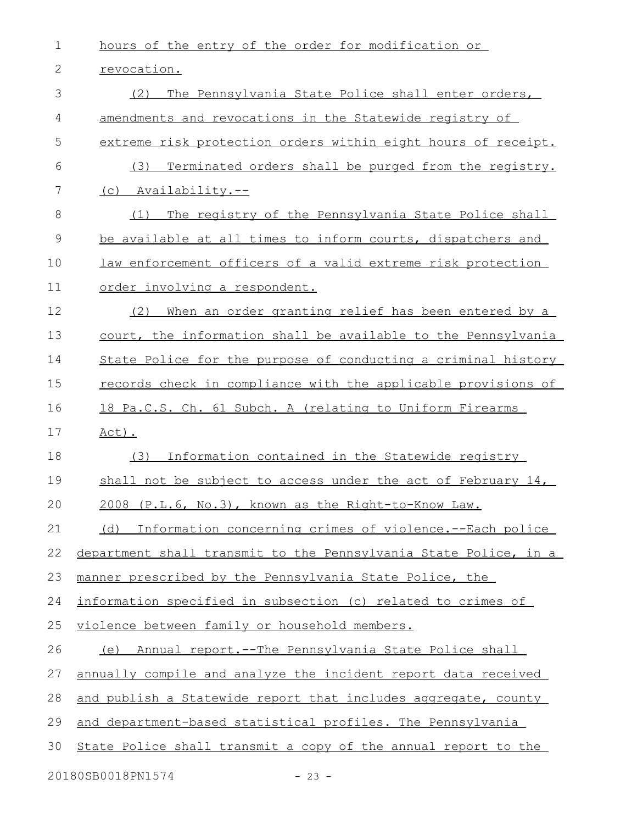| 1        | hours of the entry of the order for modification or              |
|----------|------------------------------------------------------------------|
| 2        | revocation.                                                      |
| 3        | The Pennsylvania State Police shall enter orders,<br>(2)         |
| 4        | amendments and revocations in the Statewide registry of          |
| 5        | extreme risk protection orders within eight hours of receipt.    |
| 6        | Terminated orders shall be purged from the registry.<br>(3)      |
| 7        | (c) Availability.--                                              |
| 8        | The registry of the Pennsylvania State Police shall<br>(1)       |
| 9        | be available at all times to inform courts, dispatchers and      |
| 10       | law enforcement officers of a valid extreme risk protection      |
| 11       | order involving a respondent.                                    |
| 12       | When an order granting relief has been entered by a<br>(2)       |
| 13       | court, the information shall be available to the Pennsylvania    |
| 14       | State Police for the purpose of conducting a criminal history    |
| 15       | records check in compliance with the applicable provisions of    |
| 16       | 18 Pa.C.S. Ch. 61 Subch. A (relating to Uniform Firearms         |
| 17       | $Act)$ .                                                         |
| 18       | Information contained in the Statewide registry<br>(3)           |
| 19       | shall not be subject to access under the act of February 14,     |
| 20       | 2008 (P.L.6, No.3), known as the Right-to-Know Law.              |
| 21       | Information concerning crimes of violence.--Each police<br>(d)   |
| 22       | department shall transmit to the Pennsylvania State Police, in a |
| 23       | manner prescribed by the Pennsylvania State Police, the          |
| 24       | information specified in subsection (c) related to crimes of     |
| 25       | violence between family or household members.                    |
| 26       | (e) Annual report.--The Pennsylvania State Police shall          |
| 27       | annually compile and analyze the incident report data received   |
| 28       | and publish a Statewide report that includes aggregate, county   |
| 29       | and department-based statistical profiles. The Pennsylvania      |
| 30       | State Police shall transmit a copy of the annual report to the   |
| $201000$ |                                                                  |

20180SB0018PN1574 - 23 -